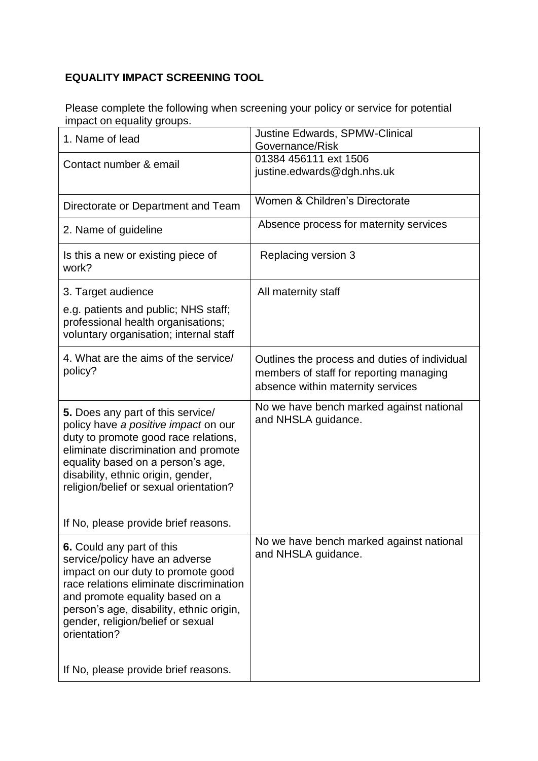## **EQUALITY IMPACT SCREENING TOOL**

Please complete the following when screening your policy or service for potential impact on equality groups.

| 1. Name of lead                                                                                                                                                                                                                                                                                                          | Justine Edwards, SPMW-Clinical<br>Governance/Risk                                                                             |
|--------------------------------------------------------------------------------------------------------------------------------------------------------------------------------------------------------------------------------------------------------------------------------------------------------------------------|-------------------------------------------------------------------------------------------------------------------------------|
| Contact number & email                                                                                                                                                                                                                                                                                                   | 01384 456111 ext 1506<br>justine.edwards@dgh.nhs.uk                                                                           |
| Directorate or Department and Team                                                                                                                                                                                                                                                                                       | Women & Children's Directorate                                                                                                |
| 2. Name of guideline                                                                                                                                                                                                                                                                                                     | Absence process for maternity services                                                                                        |
| Is this a new or existing piece of<br>work?                                                                                                                                                                                                                                                                              | Replacing version 3                                                                                                           |
| 3. Target audience                                                                                                                                                                                                                                                                                                       | All maternity staff                                                                                                           |
| e.g. patients and public; NHS staff;<br>professional health organisations;<br>voluntary organisation; internal staff                                                                                                                                                                                                     |                                                                                                                               |
| 4. What are the aims of the service/<br>policy?                                                                                                                                                                                                                                                                          | Outlines the process and duties of individual<br>members of staff for reporting managing<br>absence within maternity services |
| 5. Does any part of this service/<br>policy have a positive impact on our<br>duty to promote good race relations,<br>eliminate discrimination and promote                                                                                                                                                                | No we have bench marked against national<br>and NHSLA guidance.                                                               |
| equality based on a person's age,<br>disability, ethnic origin, gender,<br>religion/belief or sexual orientation?                                                                                                                                                                                                        |                                                                                                                               |
| If No, please provide brief reasons.                                                                                                                                                                                                                                                                                     |                                                                                                                               |
| 6. Could any part of this<br>service/policy have an adverse<br>impact on our duty to promote good<br>race relations eliminate discrimination<br>and promote equality based on a<br>person's age, disability, ethnic origin,<br>gender, religion/belief or sexual<br>orientation?<br>If No, please provide brief reasons. | No we have bench marked against national<br>and NHSLA guidance.                                                               |